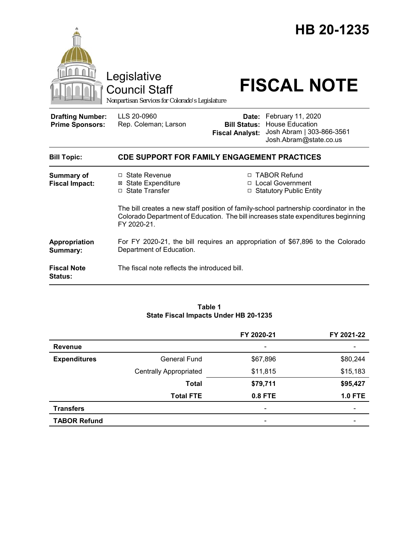

#### **Table 1 State Fiscal Impacts Under HB 20-1235**

|                     |                               | FY 2020-21               | FY 2021-22     |
|---------------------|-------------------------------|--------------------------|----------------|
| <b>Revenue</b>      |                               | $\overline{\phantom{a}}$ |                |
| <b>Expenditures</b> | General Fund                  | \$67,896                 | \$80,244       |
|                     | <b>Centrally Appropriated</b> | \$11,815                 | \$15,183       |
|                     | Total                         | \$79,711                 | \$95,427       |
|                     | <b>Total FTE</b>              | 0.8 FTE                  | <b>1.0 FTE</b> |
| <b>Transfers</b>    |                               | $\overline{\phantom{a}}$ |                |
| <b>TABOR Refund</b> |                               | $\overline{\phantom{a}}$ |                |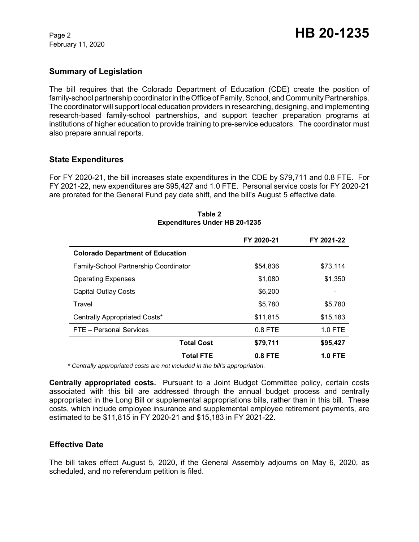February 11, 2020

# **Summary of Legislation**

The bill requires that the Colorado Department of Education (CDE) create the position of family-school partnership coordinator in the Office of Family, School, and Community Partnerships. The coordinator will support local education providers in researching, designing, and implementing research-based family-school partnerships, and support teacher preparation programs at institutions of higher education to provide training to pre-service educators. The coordinator must also prepare annual reports.

## **State Expenditures**

For FY 2020-21, the bill increases state expenditures in the CDE by \$79,711 and 0.8 FTE. For FY 2021-22, new expenditures are \$95,427 and 1.0 FTE. Personal service costs for FY 2020-21 are prorated for the General Fund pay date shift, and the bill's August 5 effective date.

|                                              | FY 2020-21 | FY 2021-22     |
|----------------------------------------------|------------|----------------|
| <b>Colorado Department of Education</b>      |            |                |
| <b>Family-School Partnership Coordinator</b> | \$54,836   | \$73,114       |
| <b>Operating Expenses</b>                    | \$1,080    | \$1,350        |
| <b>Capital Outlay Costs</b>                  | \$6,200    |                |
| Travel                                       | \$5,780    | \$5,780        |
| Centrally Appropriated Costs*                | \$11,815   | \$15,183       |
| FTE - Personal Services                      | $0.8$ FTE  | $1.0$ FTE      |
| <b>Total Cost</b>                            | \$79,711   | \$95,427       |
| <b>Total FTE</b>                             | $0.8$ FTE  | <b>1.0 FTE</b> |

#### **Table 2 Expenditures Under HB 20-1235**

 *\* Centrally appropriated costs are not included in the bill's appropriation.*

**Centrally appropriated costs.** Pursuant to a Joint Budget Committee policy, certain costs associated with this bill are addressed through the annual budget process and centrally appropriated in the Long Bill or supplemental appropriations bills, rather than in this bill. These costs, which include employee insurance and supplemental employee retirement payments, are estimated to be \$11,815 in FY 2020-21 and \$15,183 in FY 2021-22.

## **Effective Date**

The bill takes effect August 5, 2020, if the General Assembly adjourns on May 6, 2020, as scheduled, and no referendum petition is filed.